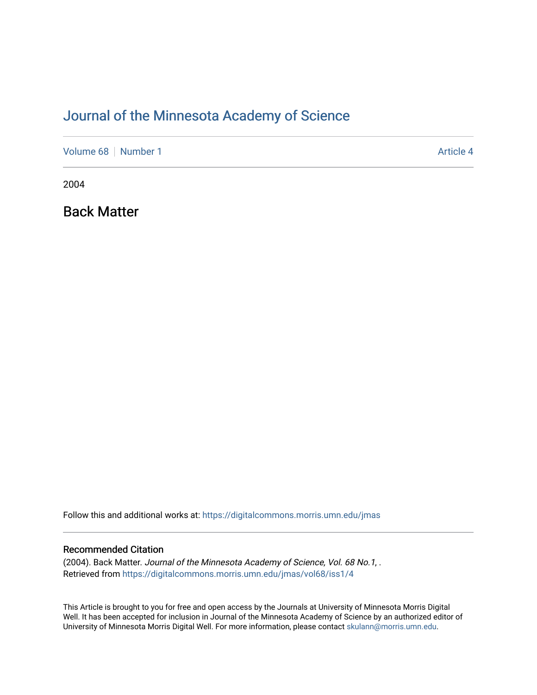## [Journal of the Minnesota Academy of Science](https://digitalcommons.morris.umn.edu/jmas)

[Volume 68](https://digitalcommons.morris.umn.edu/jmas/vol68) [Number 1](https://digitalcommons.morris.umn.edu/jmas/vol68/iss1) Article 4

2004

Back Matter

Follow this and additional works at: [https://digitalcommons.morris.umn.edu/jmas](https://digitalcommons.morris.umn.edu/jmas?utm_source=digitalcommons.morris.umn.edu%2Fjmas%2Fvol68%2Fiss1%2F4&utm_medium=PDF&utm_campaign=PDFCoverPages) 

#### Recommended Citation

(2004). Back Matter. Journal of the Minnesota Academy of Science, Vol. 68 No.1, . Retrieved from [https://digitalcommons.morris.umn.edu/jmas/vol68/iss1/4](https://digitalcommons.morris.umn.edu/jmas/vol68/iss1/4?utm_source=digitalcommons.morris.umn.edu%2Fjmas%2Fvol68%2Fiss1%2F4&utm_medium=PDF&utm_campaign=PDFCoverPages)

This Article is brought to you for free and open access by the Journals at University of Minnesota Morris Digital Well. It has been accepted for inclusion in Journal of the Minnesota Academy of Science by an authorized editor of University of Minnesota Morris Digital Well. For more information, please contact [skulann@morris.umn.edu](mailto:skulann@morris.umn.edu).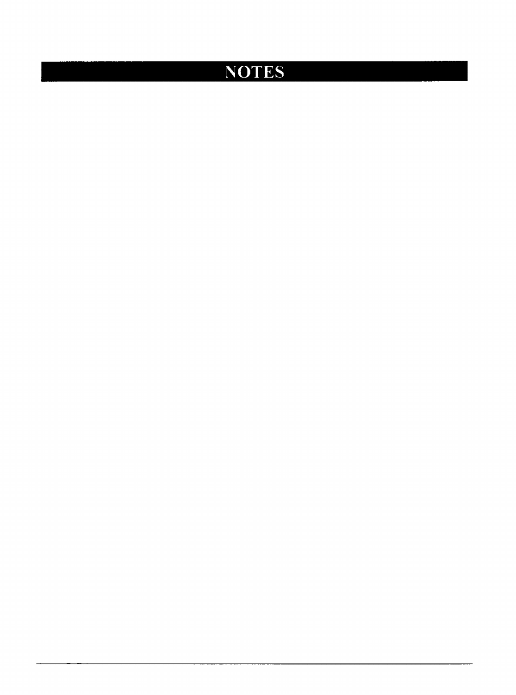# NOTES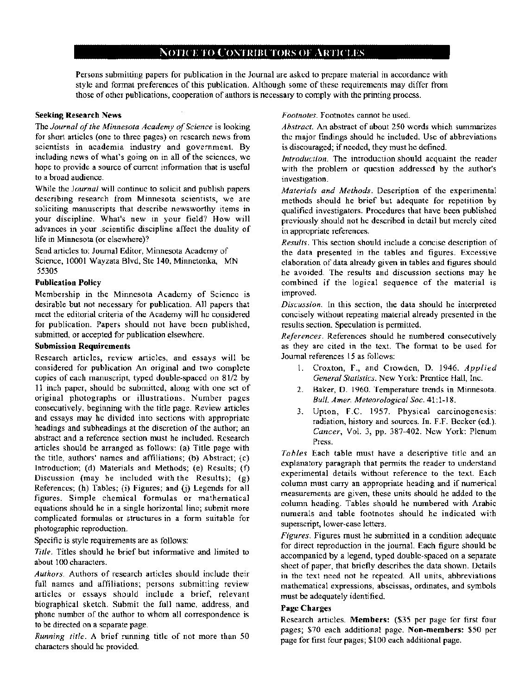#### NOTICE TO CONTRIBUTORS OF ARTICLES

Persons submitting papers for publication in the Journal are asked to prepare material in accordance with style and format preferences of this publication. Although some of these requirements may differ from those of other publications, cooperation of authors is necessary to comply with the printing process.

#### Seeking Research News

The *Journal of the Minnesota Academy of Science* is looking for short articles (one to three pages) on research news from scientists in academia industry and government. By including news of what's going on in all of the sciences, we hope to provide a source of current information that is useful to a broad audience.

While the *Journal* will continue to solicit and publish papers describing research from Minnesota scientists, we are soliciting manuscripts that describe newsworthy items in your discipline. What's new in your field? How will advances in your .scientific discipline affect the duality of life in Minnesota (or elsewhere)?

Send articles to: Journal Editor, Minnesota Academy of Science, 10001 Wayzata Blvd, Ste 140, Minnetonka, MN 55305

#### Publication Policy

Membership in the Minnesota Academy of Science is desirable but not necessary for publication. All papers that meet the editorial criteria of the Academy will he considered for publication. Papers should not have been published, submitted, or accepted for publication elsewhere.

#### Submission Requirements

Research articles, review articles, and essays will be considered for publication An original and two complete copies of each manuscript, typed double-spaced on 81/2 by 11 inch paper, should be submitted, along with one set of original photographs or illustrations. Number pages consecutively, beginning with the title page. Review articles and essays may he divided into sections with appropriate headings and subheadings at the discretion of the author; an abstract and a reference section must he included. Research articles should be arranged as follows: (a) Title page with the title, authors' names and affiliations; (b) Abstract; (c) Introduction; (d) Materials and Methods; (e) Results; (f) Discussion (may he included with the Results);  $(g)$ References; (h) Tables; (i) Figures; and (j) Legends for all figures. Simple chemical formulas or mathematical equations should he in a single horizontal line; submit more complicated formulas or structures in a form suitable for photographic reproduction.

Specific is style requirements are as follows:

*Title.* Titles should he brief but informative and limited to about l 00 characters.

*Authors.* Authors of research articles should include their full names and affiliations; persons submitting review articles or essays should include a brief, relevant biographical sketch. Submit the full name, address, and phone number of the author to whom all correspondence is to be directed on a separate page.

*Running title.* A brief running title of not more than 50 characters should he provided.

*Footnotes.* Footnotes cannot be used.

*Ahstract.* An abstract of about 250 words which summarizes the major findings should he included. Use of abbreviations is discouraged; if needed, they must he defined.

*Introduction.* The introduction should acquaint the reader with the problem or question addressed by the author's investigation.

*Materials and Methods.* Description of the experimental methods should he brief but adequate for repetition by qualified investigators. Procedures that have been published previously should not he described in detail but merely cited in appropriate references.

*Results.* This section should include a concise description of the data presented in the tables and figures. Excessive elaboration of data already given in tables and figures should he avoided. The results and discussion sections may he combined if the logical sequence of the material is improved.

*Discussion.* ln this section, the data should he interpreted concisely without repeating material already presented in the results section. Speculation is permitted.

*References.* References should he numbered consecutively as they arc cited in the text. The format to be used for Journal references 15 as follows:

- I. Croxton, F., and Crowden, D. 1946. *Applied General Statistics.* New York: Prentice Hall, Inc.
- 2. Baker, 0. 1960. Temperature trends in Minnesota. *Bull. Amer. Meteorological Soc.* 41:1-18.
- 3. Upton, F.C. 1957. Physical carcinogenesis: radiation, history and sources. In. F.F. Becker (ed.). *Cancer,* Vol. 3, pp. 387-402. New York: Plenum Press.

*Tahles* Each table must have a descriptive title and an explanatory paragraph that permits the reader to understand experimental details without reference to the text. Each column must carry an appropriate heading and if numerical measurements are given, these units should he added to the column heading. Tables should he numbered with Arabic numerals and table footnotes should he indicated with superscript, lower-case letters.

*Figures.* Figures must he submitted in a condition adequate for direct reproduction in the journal. Each figure should be accompanied by a legend, typed double-spaced on a separate sheet of paper, that briefly describes the data shown. Details in the text need not he repeated. All units, abbreviations mathematical expressions, abscissas, ordinates, and symbols must be adequately identified.

#### Page Charges

Research articles. Members: (\$35 per page for first four pages; \$70 each additional page. Non~members: \$50 per page for first four pages; \$100 each additional page.